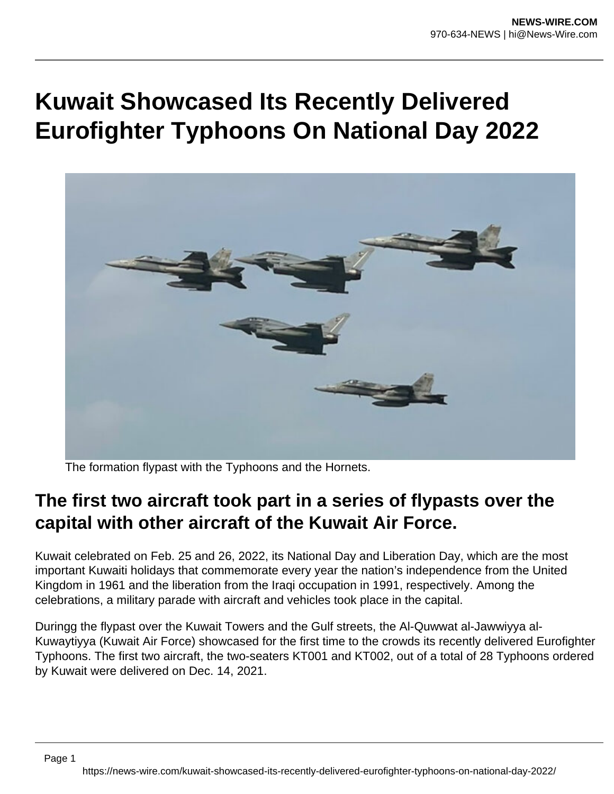## **Kuwait Showcased Its Recently Delivered Eurofighter Typhoons On National Day 2022**



The formation flypast with the Typhoons and the Hornets.

## **The first two aircraft took part in a series of flypasts over the capital with other aircraft of the Kuwait Air Force.**

Kuwait celebrated on Feb. 25 and 26, 2022, its National Day and Liberation Day, which are the most important Kuwaiti holidays that commemorate every year the nation's independence from the United Kingdom in 1961 and the liberation from the Iraqi occupation in 1991, respectively. Among the celebrations, a military parade with aircraft and vehicles took place in the capital.

Duringg the flypast over the Kuwait Towers and the Gulf streets, the Al-Quwwat al-Jawwiyya al-Kuwaytiyya (Kuwait Air Force) showcased for the first time to the crowds its recently delivered Eurofighter Typhoons. The first two aircraft, the two-seaters KT001 and KT002, out of a total of 28 Typhoons ordered by Kuwait were delivered on Dec. 14, 2021.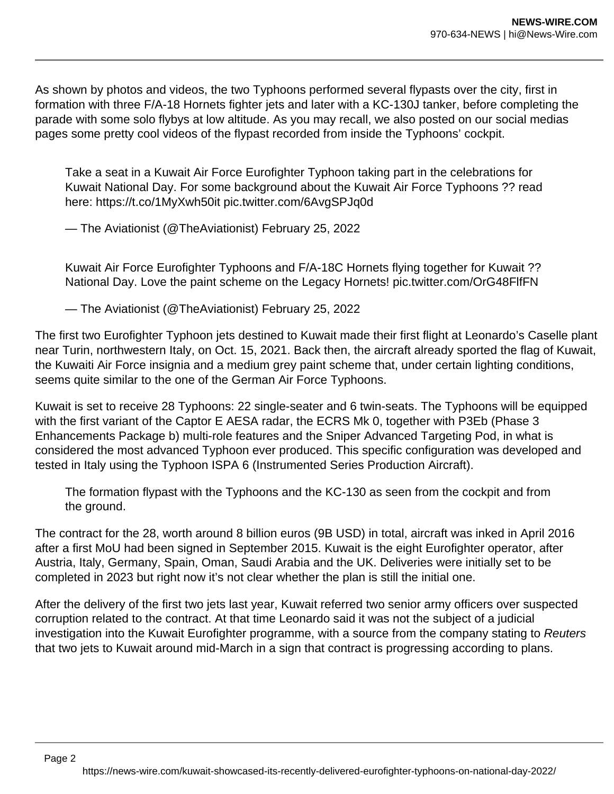As shown by photos and videos, the two Typhoons performed several flypasts over the city, first in formation with three F/A-18 Hornets fighter jets and later with a KC-130J tanker, before completing the parade with some solo flybys at low altitude. As you may recall, we also posted on our social medias pages some pretty cool videos of the flypast recorded from inside the Typhoons' cockpit.

Take a seat in a Kuwait Air Force Eurofighter Typhoon taking part in the celebrations for Kuwait National Day. For some background about the Kuwait Air Force Typhoons ?? read here: https://t.co/1MyXwh50it pic.twitter.com/6AvgSPJq0d

— The Aviationist (@TheAviationist) February 25, 2022

Kuwait Air Force Eurofighter Typhoons and F/A-18C Hornets flying together for Kuwait ?? National Day. Love the paint scheme on the Legacy Hornets! pic.twitter.com/OrG48FlfFN

— The Aviationist (@TheAviationist) February 25, 2022

The first two Eurofighter Typhoon jets destined to Kuwait made their first flight at Leonardo's Caselle plant near Turin, northwestern Italy, on Oct. 15, 2021. Back then, the aircraft already sported the flag of Kuwait, the Kuwaiti Air Force insignia and a medium grey paint scheme that, under certain lighting conditions, seems quite similar to the one of the German Air Force Typhoons.

Kuwait is set to receive 28 Typhoons: 22 single-seater and 6 twin-seats. The Typhoons will be equipped with the first variant of the Captor E AESA radar, the ECRS Mk 0, together with P3Eb (Phase 3) Enhancements Package b) multi-role features and the Sniper Advanced Targeting Pod, in what is considered the most advanced Typhoon ever produced. This specific configuration was developed and tested in Italy using the Typhoon ISPA 6 (Instrumented Series Production Aircraft).

The formation flypast with the Typhoons and the KC-130 as seen from the cockpit and from the ground.

The contract for the 28, worth around 8 billion euros (9B USD) in total, aircraft was inked in April 2016 after a first MoU had been signed in September 2015. Kuwait is the eight Eurofighter operator, after Austria, Italy, Germany, Spain, Oman, Saudi Arabia and the UK. Deliveries were initially set to be completed in 2023 but right now it's not clear whether the plan is still the initial one.

After the delivery of the first two jets last year, Kuwait referred two senior army officers over suspected corruption related to the contract. At that time Leonardo said it was not the subject of a judicial investigation into the Kuwait Eurofighter programme, with a source from the company stating to Reuters that two jets to Kuwait around mid-March in a sign that contract is progressing according to plans.

Page 2